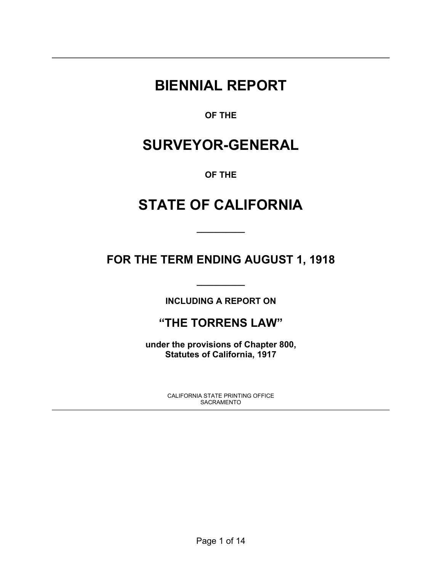# **BIENNIAL REPORT**

**OF THE** 

# **SURVEYOR-GENERAL**

**OF THE** 

# **STATE OF CALIFORNIA**

**\_\_\_\_\_\_\_\_\_\_** 

**FOR THE TERM ENDING AUGUST 1, 1918** 

**INCLUDING A REPORT ON** 

**\_\_\_\_\_\_\_\_\_\_** 

# **"THE TORRENS LAW"**

**under the provisions of Chapter 800, Statutes of California, 1917** 

> CALIFORNIA STATE PRINTING OFFICE SACRAMENTO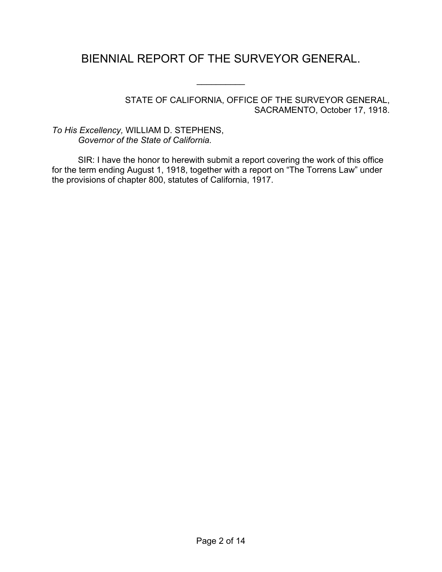# BIENNIAL REPORT OF THE SURVEYOR GENERAL.

 $\frac{1}{2}$ 

STATE OF CALIFORNIA, OFFICE OF THE SURVEYOR GENERAL, SACRAMENTO, October 17, 1918.

*To His Excellency,* WILLIAM D. STEPHENS, *Governor of the State of California.*

SIR: I have the honor to herewith submit a report covering the work of this office for the term ending August 1, 1918, together with a report on "The Torrens Law" under the provisions of chapter 800, statutes of California, 1917.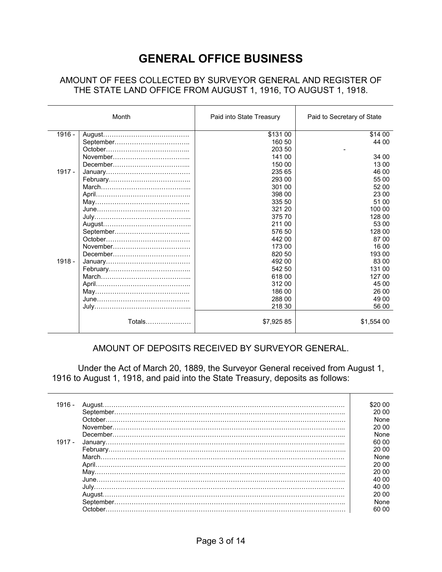# **GENERAL OFFICE BUSINESS**

#### AMOUNT OF FEES COLLECTED BY SURVEYOR GENERAL AND REGISTER OF THE STATE LAND OFFICE FROM AUGUST 1, 1916, TO AUGUST 1, 1918.

|          | Month         | Paid into State Treasury | Paid to Secretary of State |
|----------|---------------|--------------------------|----------------------------|
| 1916 -   |               | \$131 00                 | \$14 00                    |
|          |               | 160 50                   | 44 00                      |
|          |               | 203 50                   |                            |
|          |               | 141 00                   | 34 00                      |
|          |               | 150 00                   | 13 00                      |
| $1917 -$ |               | 235 65                   | 46 00                      |
|          |               | 293 00                   | 55 00                      |
|          |               | 301 00                   | 52 00                      |
|          |               | 398 00                   | 23 00                      |
|          |               | 335 50                   | 51 00                      |
|          |               | 321 20                   | 100 00                     |
|          |               | 375 70                   | 128 00                     |
|          |               | 211 00                   | 53 00                      |
|          |               | 576 50                   | 128 00                     |
|          |               | 442 00                   | 87 00                      |
|          |               | 173 00                   | 16 00                      |
|          |               | 820 50                   | 193 00                     |
| $1918 -$ |               | 492 00                   | 83 00                      |
|          |               | 542 50                   | 131 00                     |
|          |               | 618 00                   | 127 00                     |
|          |               | 312 00                   | 45 00                      |
|          |               | 186 00                   | 26 00                      |
|          |               | 288 00                   | 49 00                      |
|          |               | 218 30                   | 56 00                      |
|          | Totals………………… | \$7,925 85               | \$1,554 00                 |

#### AMOUNT OF DEPOSITS RECEIVED BY SURVEYOR GENERAL.

 Under the Act of March 20, 1889, the Surveyor General received from August 1, 1916 to August 1, 1918, and paid into the State Treasury, deposits as follows:

 $\top$ 

| 1916 -   |                                                                                                                                                                                                                                                                                                                                                                                                                                                                                                                                                                                                                       | \$20.00 |
|----------|-----------------------------------------------------------------------------------------------------------------------------------------------------------------------------------------------------------------------------------------------------------------------------------------------------------------------------------------------------------------------------------------------------------------------------------------------------------------------------------------------------------------------------------------------------------------------------------------------------------------------|---------|
|          |                                                                                                                                                                                                                                                                                                                                                                                                                                                                                                                                                                                                                       | 20.00   |
|          |                                                                                                                                                                                                                                                                                                                                                                                                                                                                                                                                                                                                                       | None    |
|          | ${\bf November.}\label{def:nonlinear} .\label{def:nonlinear}$                                                                                                                                                                                                                                                                                                                                                                                                                                                                                                                                                         | 20.00   |
|          |                                                                                                                                                                                                                                                                                                                                                                                                                                                                                                                                                                                                                       | None    |
| $1917 -$ |                                                                                                                                                                                                                                                                                                                                                                                                                                                                                                                                                                                                                       | 60 00   |
|          |                                                                                                                                                                                                                                                                                                                                                                                                                                                                                                                                                                                                                       | 20.00   |
|          |                                                                                                                                                                                                                                                                                                                                                                                                                                                                                                                                                                                                                       | None    |
|          | $\textsf{March} \textcolor{red}{.}\textcolor{blue}{.}\textcolor{blue}{.}\textcolor{blue}{.}\textcolor{blue}{.}\textcolor{blue}{.}\textcolor{blue}{.}\textcolor{blue}{.}\textcolor{blue}{.}\textcolor{blue}{.}\textcolor{blue}{.}\textcolor{blue}{.}\textcolor{blue}{.}\textcolor{blue}{.}\textcolor{blue}{.}\textcolor{blue}{.}\textcolor{blue}{.}\textcolor{blue}{.}\textcolor{blue}{.}\textcolor{blue}{.}\textcolor{blue}{.}\textcolor{blue}{.}\textcolor{blue}{.}\textcolor{blue}{.}\textcolor{blue}{.}\textcolor{blue}{.}\textcolor{blue}{.}\textcolor{blue}{.}\textcolor{blue}{.}\textcolor{blue}{.}\textcolor{$ | 20 00   |
|          |                                                                                                                                                                                                                                                                                                                                                                                                                                                                                                                                                                                                                       |         |
|          |                                                                                                                                                                                                                                                                                                                                                                                                                                                                                                                                                                                                                       | 20.00   |
|          |                                                                                                                                                                                                                                                                                                                                                                                                                                                                                                                                                                                                                       | 40 00   |
|          |                                                                                                                                                                                                                                                                                                                                                                                                                                                                                                                                                                                                                       | 40.00   |
|          |                                                                                                                                                                                                                                                                                                                                                                                                                                                                                                                                                                                                                       | 20 00   |
|          |                                                                                                                                                                                                                                                                                                                                                                                                                                                                                                                                                                                                                       | None    |
|          |                                                                                                                                                                                                                                                                                                                                                                                                                                                                                                                                                                                                                       | 60.00   |
|          |                                                                                                                                                                                                                                                                                                                                                                                                                                                                                                                                                                                                                       |         |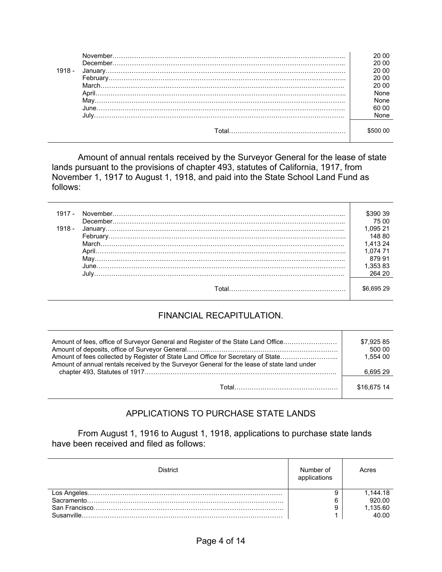| $1918 -$ |                                                                                                               | 20.00<br>20.00<br>20.00<br>20.00<br>20.00<br>None<br><b>None</b><br>60.00<br>None |
|----------|---------------------------------------------------------------------------------------------------------------|-----------------------------------------------------------------------------------|
|          | Total and the contract of the contract of the contract of the contract of the contract of the contract of the |                                                                                   |

Amount of annual rentals received by the Surveyor General for the lease of state lands pursuant to the provisions of chapter 493, statutes of California, 1917, from November 1, 1917 to August 1, 1918, and paid into the State School Land Fund as follows:

| 1917 - |                                                                                                               | \$390 39 |
|--------|---------------------------------------------------------------------------------------------------------------|----------|
|        |                                                                                                               | 75 00    |
| 1918 - |                                                                                                               | 1.095 21 |
|        |                                                                                                               | 148 80   |
|        |                                                                                                               | 1.413 24 |
|        |                                                                                                               | 1.074 71 |
|        |                                                                                                               | 879 91   |
|        |                                                                                                               | 1.353 83 |
|        |                                                                                                               | 264 20   |
|        | Total and the contract of the contract of the contract of the contract of the contract of the contract of the |          |

## FINANCIAL RECAPITULATION.

| Amount of fees, office of Surveyor General and Register of the State Land Office<br>Amount of fees collected by Register of State Land Office for Secretary of State<br>Amount of annual rentals received by the Surveyor General for the lease of state land under |             |
|---------------------------------------------------------------------------------------------------------------------------------------------------------------------------------------------------------------------------------------------------------------------|-------------|
|                                                                                                                                                                                                                                                                     | 6.695 29    |
|                                                                                                                                                                                                                                                                     | \$16.675 14 |

## APPLICATIONS TO PURCHASE STATE LANDS

From August 1, 1916 to August 1, 1918, applications to purchase state lands have been received and filed as follows:

| District.  | Number of<br>applications | Acres    |
|------------|---------------------------|----------|
|            |                           | 1,144.18 |
|            | ◠                         | 92000    |
|            |                           | 1,135.60 |
| Susanville |                           | 40.00    |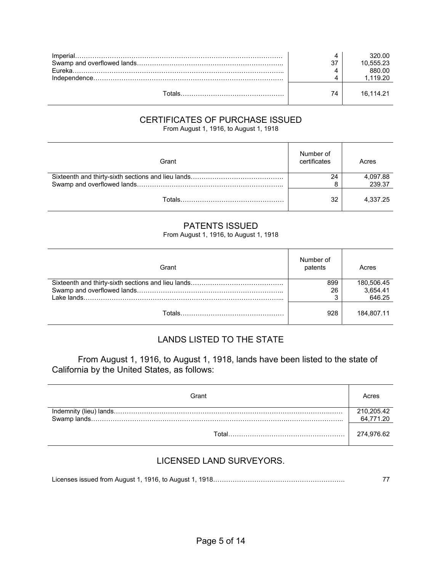| <b>Fureka</b> |    | 320.00<br>10,555.23<br>880.00 |
|---------------|----|-------------------------------|
|               |    | l 119 20                      |
|               | 74 | 16.114.21                     |

# CERTIFICATES OF PURCHASE ISSUED

From August 1, 1916, to August 1, 1918

| Grant | Number of<br>certificates | Acres    |
|-------|---------------------------|----------|
|       | 24                        | 4,097.88 |
|       |                           | 239.37   |
|       | 32                        | 4.337.25 |

#### PATENTS ISSUED

From August 1, 1916, to August 1, 1918

| Grant  | Number of<br>patents | Acres      |
|--------|----------------------|------------|
|        | 899                  | 180,506.45 |
|        | 26                   | 3,654.41   |
|        | ◠                    | 646.25     |
| Totals | 928                  | 184.807.11 |

## LANDS LISTED TO THE STATE

 From August 1, 1916, to August 1, 1918, lands have been listed to the state of California by the United States, as follows:

| Grant | Acres                   |
|-------|-------------------------|
|       | 210,205.42<br>64,771.20 |
| Γ∩tal | 274,976.62              |

## LICENSED LAND SURVEYORS.

Licenses issued from August 1, 1916, to August 1, 1918……………………………………………………. 77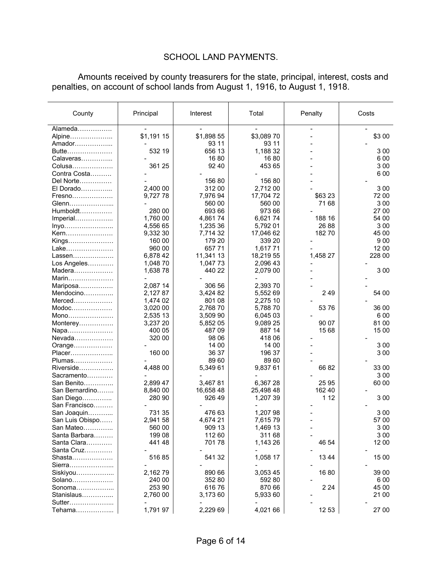# SCHOOL LAND PAYMENTS.

Amounts received by county treasurers for the state, principal, interest, costs and penalties, on account of school lands from August 1, 1916, to August 1, 1918.

| County           | Principal  | Interest   | Total      | Penalty  | Costs  |
|------------------|------------|------------|------------|----------|--------|
| Alameda          |            |            |            |          |        |
| Alpine           | \$1,191 15 | \$1,898 55 | \$3,089 70 |          | \$3 00 |
| Amador           |            | 93 11      | 93 11      |          |        |
| Butte            | 532 19     | 656 13     | 1,188 32   |          | 300    |
| Calaveras        |            | 1680       | 1680       |          | 600    |
| Colusa           | 361 25     | 92 40      | 453 65     |          | 3 0 0  |
| Contra Costa     |            |            |            |          | 600    |
| Del Norte        |            | 156 80     | 156 80     |          |        |
| El Dorado        | 2,400 00   | 312 00     | 2,712 00   |          | 3 0 0  |
| Fresno           | 9,727 78   | 7,976 94   | 17,704 72  | \$63 23  | 72 00  |
| Glenn            |            | 560 00     | 560 00     | 71 68    | 3 0 0  |
| Humboldt         | 280 00     | 693 66     | 973 66     |          | 27 00  |
| Imperial         | 1,760 00   | 4,86174    | 6,62174    | 188 16   | 54 00  |
| $lnyo$           | 4,556 65   | 1,235 36   | 5,792 01   | 26 88    | 300    |
| Kern             | 9,332 30   | 7,714 32   | 17,046 62  | 18270    | 45 00  |
| Kings            | 160 00     | 179 20     | 339 20     |          | 900    |
| Lake             | 960 00     | 657 71     | 1,617 71   |          | 12 00  |
| Lassen           | 6,878 42   | 11,341 13  | 18,219 55  | 1,458 27 | 228 00 |
| Los Angeles      | 1,048 70   | 1,047 73   | 2,096 43   |          |        |
| Madera           | 1,638 78   | 440 22     | 2,079 00   |          | 3 0 0  |
| Marin            |            |            |            |          |        |
| Mariposa         | 2,087 14   | 306 56     | 2,393 70   |          |        |
| Mendocino        | 2,127 87   | 3,424 82   | 5,552 69   | 249      | 54 00  |
| Merced           | 1,474 02   | 801 08     | 2,275 10   |          |        |
| Modoc            | 3,020 00   | 2,768 70   | 5,788 70   | 53 76    | 36 00  |
| Mono             | 2,535 13   | 3,509 90   | 6,045 03   |          | 6 0 0  |
| Monterey         | 3,237 20   | 5,852 05   | 9,089 25   | 90 07    | 81 00  |
| Napa             | 400 05     | 487 09     | 887 14     | 15 68    | 15 00  |
| Nevada           | 320 00     | 98 06      | 418 06     |          |        |
| Orange           |            | 14 00      | 14 00      |          | 3 0 0  |
| Placer           | 160 00     | 36 37      | 196 37     |          | 3 0 0  |
| Plumas           |            | 89 60      | 89 60      |          |        |
| Riverside        | 4,488 00   | 5,349 61   | 9,837 61   | 6682     | 33 00  |
| Sacramento       |            |            |            |          | 3 0 0  |
| San Benito       | 2,899 47   | 3,46781    | 6,367 28   | 25 95    | 60 00  |
| San Bernardino   | 8,840 00   | 16,658 48  | 25,498 48  | 162 40   |        |
| San Diego        | 280 90     | 926 49     | 1,207 39   | 1 1 2    | 300    |
| San Francisco    |            |            |            |          |        |
| San Joaquin      | 731 35     | 476 63     | 1,207 98   |          | 3 0 0  |
| San Luis Obispo  | 2,941 58   | 4,674 21   | 7,615 79   |          | 57 00  |
| San Mateo        | 560 00     | 909 13     | 1,469 13   |          | 3 00   |
| Santa Barbara    | 199 08     | 112 60     | 311 68     |          | 3 0 0  |
| Santa Clara      | 441 48     | 70178      | 1,143 26   | 46 54    | 12 00  |
| Santa Cruz       |            |            | -          |          |        |
| Shasta           | 51685      | 541 32     | 1,058 17   | 1344     | 15 00  |
| Sierra           |            |            |            |          |        |
| Siskiyou         | 2,16279    | 890 66     | 3,053 45   | 1680     | 39 00  |
|                  |            |            |            |          |        |
| Solano           | 240 00     | 352 80     | 592 80     |          | 6 0 0  |
| Sonoma           | 253 90     | 61676      | 870 66     | 2 2 4    | 45 00  |
| Stanislaus       | 2,760 00   | 3,173 60   | 5,933 60   |          | 21 00  |
| Sutter<br>Tehama |            |            |            |          | 27 00  |
|                  | 1,791 97   | 2,229 69   | 4,021 66   | 12 53    |        |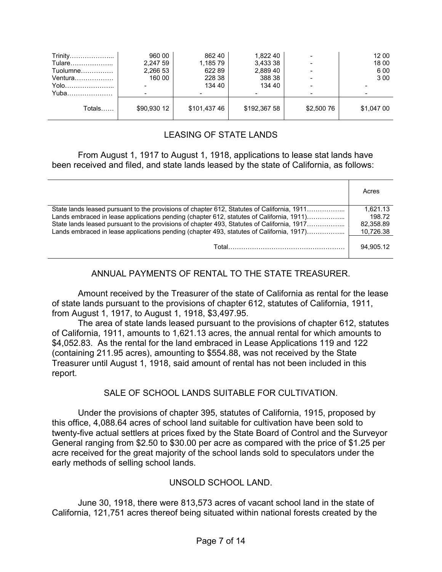| Yuba<br>Totals…… | \$90,930 12 | \$101,437 46 | \$192,367 58 | \$2,500 76 | \$1,047 00 |
|------------------|-------------|--------------|--------------|------------|------------|
| Yolo             |             | 134 40       | 134 40       |            |            |
| Ventura          | 160 00      | 228 38       | 388 38       |            | 3 0 0      |
| Tuolumne         | 2,266 53    | 62289        | 2.889 40     |            | 6 0 0      |
| Tulare           | 2,247 59    | 1,185 79     | 3,433 38     |            | 18 00      |
| Trinity          | 960 00      | 862 40       | 1,822 40     |            | 12 00      |

## LEASING OF STATE LANDS

#### From August 1, 1917 to August 1, 1918, applications to lease stat lands have been received and filed, and state lands leased by the state of California, as follows:

|                                                                                            | Acres     |
|--------------------------------------------------------------------------------------------|-----------|
| State lands leased pursuant to the provisions of chapter 612, Statutes of California, 1911 | 1.621.13  |
| Lands embraced in lease applications pending (chapter 612, statutes of California, 1911)   | 198.72    |
| State lands leased pursuant to the provisions of chapter 493, Statutes of California, 1917 | 82.358.89 |
| Lands embraced in lease applications pending (chapter 493, statutes of California, 1917)   | 10,726.38 |
|                                                                                            | 94.905.12 |

## ANNUAL PAYMENTS OF RENTAL TO THE STATE TREASURER.

 Amount received by the Treasurer of the state of California as rental for the lease of state lands pursuant to the provisions of chapter 612, statutes of California, 1911, from August 1, 1917, to August 1, 1918, \$3,497.95.

 The area of state lands leased pursuant to the provisions of chapter 612, statutes of California, 1911, amounts to 1,621.13 acres, the annual rental for which amounts to \$4,052.83. As the rental for the land embraced in Lease Applications 119 and 122 (containing 211.95 acres), amounting to \$554.88, was not received by the State Treasurer until August 1, 1918, said amount of rental has not been included in this report.

## SALE OF SCHOOL LANDS SUITABLE FOR CULTIVATION.

 Under the provisions of chapter 395, statutes of California, 1915, proposed by this office, 4,088.64 acres of school land suitable for cultivation have been sold to twenty-five actual settlers at prices fixed by the State Board of Control and the Surveyor General ranging from \$2.50 to \$30.00 per acre as compared with the price of \$1.25 per acre received for the great majority of the school lands sold to speculators under the early methods of selling school lands.

#### UNSOLD SCHOOL LAND.

 June 30, 1918, there were 813,573 acres of vacant school land in the state of California, 121,751 acres thereof being situated within national forests created by the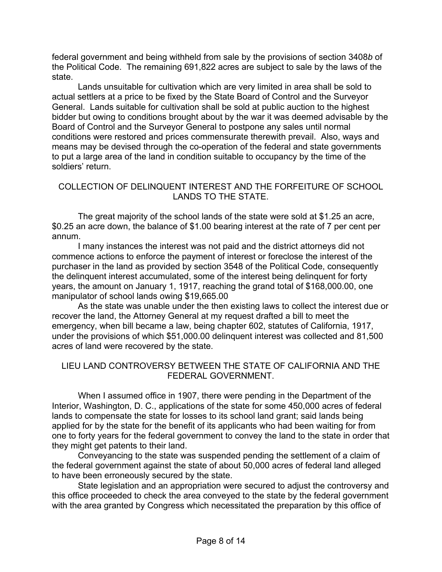federal government and being withheld from sale by the provisions of section 3408*b* of the Political Code. The remaining 691,822 acres are subject to sale by the laws of the state.

 Lands unsuitable for cultivation which are very limited in area shall be sold to actual settlers at a price to be fixed by the State Board of Control and the Surveyor General. Lands suitable for cultivation shall be sold at public auction to the highest bidder but owing to conditions brought about by the war it was deemed advisable by the Board of Control and the Surveyor General to postpone any sales until normal conditions were restored and prices commensurate therewith prevail. Also, ways and means may be devised through the co-operation of the federal and state governments to put a large area of the land in condition suitable to occupancy by the time of the soldiers' return.

#### COLLECTION OF DELINQUENT INTEREST AND THE FORFEITURE OF SCHOOL LANDS TO THE STATE.

 The great majority of the school lands of the state were sold at \$1.25 an acre, \$0.25 an acre down, the balance of \$1.00 bearing interest at the rate of 7 per cent per annum.

 I many instances the interest was not paid and the district attorneys did not commence actions to enforce the payment of interest or foreclose the interest of the purchaser in the land as provided by section 3548 of the Political Code, consequently the delinquent interest accumulated, some of the interest being delinquent for forty years, the amount on January 1, 1917, reaching the grand total of \$168,000.00, one manipulator of school lands owing \$19,665.00

 As the state was unable under the then existing laws to collect the interest due or recover the land, the Attorney General at my request drafted a bill to meet the emergency, when bill became a law, being chapter 602, statutes of California, 1917, under the provisions of which \$51,000.00 delinquent interest was collected and 81,500 acres of land were recovered by the state.

#### LIEU LAND CONTROVERSY BETWEEN THE STATE OF CALIFORNIA AND THE FEDERAL GOVERNMENT.

 When I assumed office in 1907, there were pending in the Department of the Interior, Washington, D. C., applications of the state for some 450,000 acres of federal lands to compensate the state for losses to its school land grant; said lands being applied for by the state for the benefit of its applicants who had been waiting for from one to forty years for the federal government to convey the land to the state in order that they might get patents to their land.

 Conveyancing to the state was suspended pending the settlement of a claim of the federal government against the state of about 50,000 acres of federal land alleged to have been erroneously secured by the state.

 State legislation and an appropriation were secured to adjust the controversy and this office proceeded to check the area conveyed to the state by the federal government with the area granted by Congress which necessitated the preparation by this office of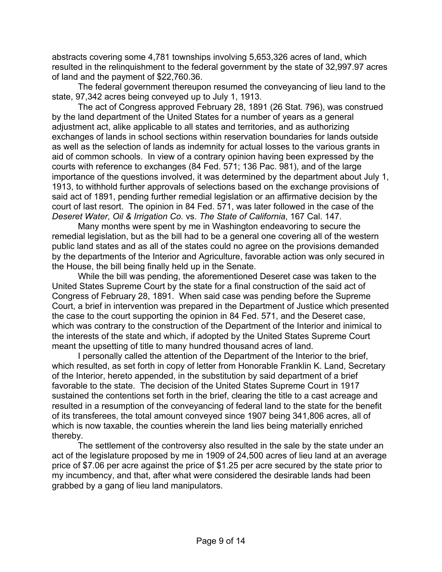abstracts covering some 4,781 townships involving 5,653,326 acres of land, which resulted in the relinquishment to the federal government by the state of 32,997.97 acres of land and the payment of \$22,760.36.

 The federal government thereupon resumed the conveyancing of lieu land to the state, 97,342 acres being conveyed up to July 1, 1913.

 The act of Congress approved February 28, 1891 (26 Stat. 796), was construed by the land department of the United States for a number of years as a general adjustment act, alike applicable to all states and territories, and as authorizing exchanges of lands in school sections within reservation boundaries for lands outside as well as the selection of lands as indemnity for actual losses to the various grants in aid of common schools. In view of a contrary opinion having been expressed by the courts with reference to exchanges (84 Fed. 571; 136 Pac. 981), and of the large importance of the questions involved, it was determined by the department about July 1, 1913, to withhold further approvals of selections based on the exchange provisions of said act of 1891, pending further remedial legislation or an affirmative decision by the court of last resort. The opinion in 84 Fed. 571, was later followed in the case of the *Deseret Water, Oil & Irrigation Co.* vs. *The State of California*, 167 Cal. 147.

 Many months were spent by me in Washington endeavoring to secure the remedial legislation, but as the bill had to be a general one covering all of the western public land states and as all of the states could no agree on the provisions demanded by the departments of the Interior and Agriculture, favorable action was only secured in the House, the bill being finally held up in the Senate.

 While the bill was pending, the aforementioned Deseret case was taken to the United States Supreme Court by the state for a final construction of the said act of Congress of February 28, 1891. When said case was pending before the Supreme Court, a brief in intervention was prepared in the Department of Justice which presented the case to the court supporting the opinion in 84 Fed. 571, and the Deseret case, which was contrary to the construction of the Department of the Interior and inimical to the interests of the state and which, if adopted by the United States Supreme Court meant the upsetting of title to many hundred thousand acres of land.

 I personally called the attention of the Department of the Interior to the brief, which resulted, as set forth in copy of letter from Honorable Franklin K. Land, Secretary of the Interior, hereto appended, in the substitution by said department of a brief favorable to the state. The decision of the United States Supreme Court in 1917 sustained the contentions set forth in the brief, clearing the title to a cast acreage and resulted in a resumption of the conveyancing of federal land to the state for the benefit of its transferees, the total amount conveyed since 1907 being 341,806 acres, all of which is now taxable, the counties wherein the land lies being materially enriched thereby.

 The settlement of the controversy also resulted in the sale by the state under an act of the legislature proposed by me in 1909 of 24,500 acres of lieu land at an average price of \$7.06 per acre against the price of \$1.25 per acre secured by the state prior to my incumbency, and that, after what were considered the desirable lands had been grabbed by a gang of lieu land manipulators.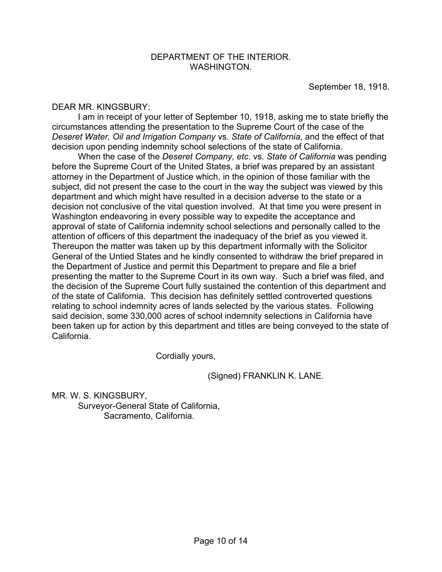September 18, 1918.

#### DEAR MR. KINGSBURY:

 I am in receipt of your letter of September 10, 1918, asking me to state briefly the circumstances attending the presentation to the Supreme Court of the case of the *Deseret Water, Oil and Irrigation Company* vs. *State of California*, and the effect of that decision upon pending indemnity school selections of the state of California.

 When the case of the *Deseret Company, etc.* vs. *State of California* was pending before the Supreme Court of the United States, a brief was prepared by an assistant attorney in the Department of Justice which, in the opinion of those familiar with the subject, did not present the case to the court in the way the subject was viewed by this department and which might have resulted in a decision adverse to the state or a decision not conclusive of the vital question involved. At that time you were present in Washington endeavoring in every possible way to expedite the acceptance and approval of state of California indemnity school selections and personally called to the attention of officers of this department the inadequacy of the brief as you viewed it. Thereupon the matter was taken up by this department informally with the Solicitor General of the Untied States and he kindly consented to withdraw the brief prepared in the Department of Justice and permit this Department to prepare and file a brief presenting the matter to the Supreme Court in its own way. Such a brief was filed, and the decision of the Supreme Court fully sustained the contention of this department and of the state of California. This decision has definitely settled controverted questions relating to school indemnity acres of lands selected by the various states. Following said decision, some 330,000 acres of school indemnity selections in California have been taken up for action by this department and titles are being conveyed to the state of California.

Cordially yours,

(Signed) FRANKLIN K. LANE.

MR. W. S. KINGSBURY, Surveyor-General State of California, Sacramento, California.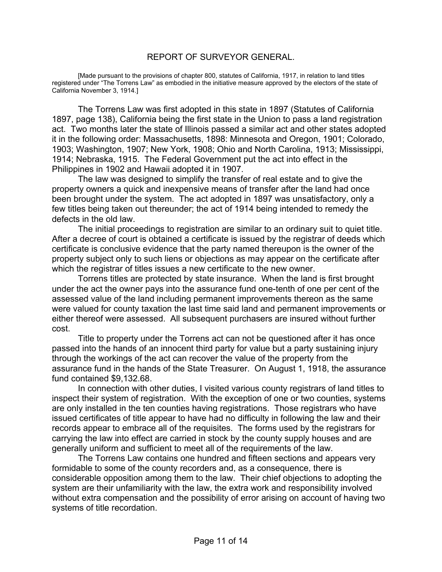#### REPORT OF SURVEYOR GENERAL.

 [Made pursuant to the provisions of chapter 800, statutes of California, 1917, in relation to land titles registered under "The Torrens Law" as embodied in the initiative measure approved by the electors of the state of California November 3, 1914.]

 The Torrens Law was first adopted in this state in 1897 (Statutes of California 1897, page 138), California being the first state in the Union to pass a land registration act. Two months later the state of Illinois passed a similar act and other states adopted it in the following order: Massachusetts, 1898: Minnesota and Oregon, 1901; Colorado, 1903; Washington, 1907; New York, 1908; Ohio and North Carolina, 1913; Mississippi, 1914; Nebraska, 1915. The Federal Government put the act into effect in the Philippines in 1902 and Hawaii adopted it in 1907.

 The law was designed to simplify the transfer of real estate and to give the property owners a quick and inexpensive means of transfer after the land had once been brought under the system. The act adopted in 1897 was unsatisfactory, only a few titles being taken out thereunder; the act of 1914 being intended to remedy the defects in the old law.

 The initial proceedings to registration are similar to an ordinary suit to quiet title. After a decree of court is obtained a certificate is issued by the registrar of deeds which certificate is conclusive evidence that the party named thereupon is the owner of the property subject only to such liens or objections as may appear on the certificate after which the registrar of titles issues a new certificate to the new owner.

 Torrens titles are protected by state insurance. When the land is first brought under the act the owner pays into the assurance fund one-tenth of one per cent of the assessed value of the land including permanent improvements thereon as the same were valued for county taxation the last time said land and permanent improvements or either thereof were assessed. All subsequent purchasers are insured without further cost.

 Title to property under the Torrens act can not be questioned after it has once passed into the hands of an innocent third party for value but a party sustaining injury through the workings of the act can recover the value of the property from the assurance fund in the hands of the State Treasurer. On August 1, 1918, the assurance fund contained \$9,132.68.

 In connection with other duties, I visited various county registrars of land titles to inspect their system of registration. With the exception of one or two counties, systems are only installed in the ten counties having registrations. Those registrars who have issued certificates of title appear to have had no difficulty in following the law and their records appear to embrace all of the requisites. The forms used by the registrars for carrying the law into effect are carried in stock by the county supply houses and are generally uniform and sufficient to meet all of the requirements of the law.

 The Torrens Law contains one hundred and fifteen sections and appears very formidable to some of the county recorders and, as a consequence, there is considerable opposition among them to the law. Their chief objections to adopting the system are their unfamiliarity with the law, the extra work and responsibility involved without extra compensation and the possibility of error arising on account of having two systems of title recordation.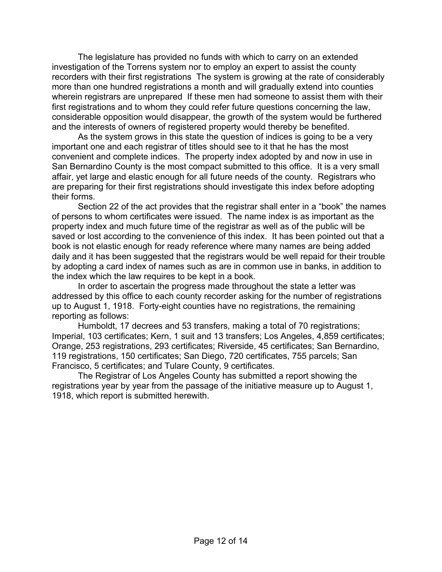The legislature has provided no funds with which to carry on an extended investigation of the Torrens system nor to employ an expert to assist the county recorders with their first registrations The system is growing at the rate of considerably more than one hundred registrations a month and will gradually extend into counties wherein registrars are unprepared If these men had someone to assist them with their first registrations and to whom they could refer future questions concerning the law, considerable opposition would disappear, the growth of the system would be furthered and the interests of owners of registered property would thereby be benefited.

 As the system grows in this state the question of indices is going to be a very important one and each registrar of titles should see to it that he has the most convenient and complete indices. The property index adopted by and now in use in San Bernardino County is the most compact submitted to this office. It is a very small affair, yet large and elastic enough for all future needs of the county. Registrars who are preparing for their first registrations should investigate this index before adopting their forms.

 Section 22 of the act provides that the registrar shall enter in a "book" the names of persons to whom certificates were issued. The name index is as important as the property index and much future time of the registrar as well as of the public will be saved or lost according to the convenience of this index. It has been pointed out that a book is not elastic enough for ready reference where many names are being added daily and it has been suggested that the registrars would be well repaid for their trouble by adopting a card index of names such as are in common use in banks, in addition to the index which the law requires to be kept in a book.

 In order to ascertain the progress made throughout the state a letter was addressed by this office to each county recorder asking for the number of registrations up to August 1, 1918. Forty-eight counties have no registrations, the remaining reporting as follows:

 Humboldt, 17 decrees and 53 transfers, making a total of 70 registrations; Imperial, 103 certificates; Kern, 1 suit and 13 transfers; Los Angeles, 4,859 certificates; Orange, 253 registrations, 293 certificates; Riverside, 45 certificates; San Bernardino, 119 registrations, 150 certificates; San Diego, 720 certificates, 755 parcels; San Francisco, 5 certificates; and Tulare County, 9 certificates.

 The Registrar of Los Angeles County has submitted a report showing the registrations year by year from the passage of the initiative measure up to August 1, 1918, which report is submitted herewith.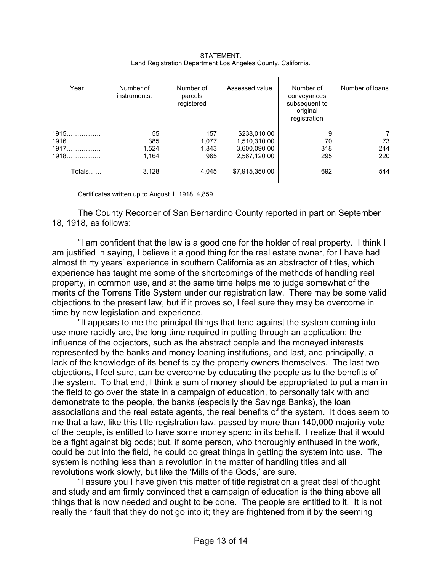| Year   | Number of<br>instruments. | Number of<br>parcels<br>registered | Assessed value | Number of<br>conveyances<br>subsequent to<br>original<br>registration | Number of loans |
|--------|---------------------------|------------------------------------|----------------|-----------------------------------------------------------------------|-----------------|
| 1915   | 55                        | 157                                | \$238,010 00   | 9                                                                     |                 |
| 1916   | 385                       | 1,077                              | 1,510,310 00   | 70                                                                    | 73              |
| 1917   | 1,524                     | 1,843                              | 3,600,090 00   | 318                                                                   | 244             |
| 1918   | 1,164                     | 965                                | 2,567,120 00   | 295                                                                   | 220             |
| Totals | 3,128                     | 4,045                              | \$7,915,350 00 | 692                                                                   | 544             |

STATEMENT. Land Registration Department Los Angeles County, California.

Certificates written up to August 1, 1918, 4,859.

The County Recorder of San Bernardino County reported in part on September 18, 1918, as follows:

 "I am confident that the law is a good one for the holder of real property. I think I am justified in saying, I believe it a good thing for the real estate owner, for I have had almost thirty years' experience in southern California as an abstractor of titles, which experience has taught me some of the shortcomings of the methods of handling real property, in common use, and at the same time helps me to judge somewhat of the merits of the Torrens Title System under our registration law. There may be some valid objections to the present law, but if it proves so, I feel sure they may be overcome in time by new legislation and experience.

 "It appears to me the principal things that tend against the system coming into use more rapidly are, the long time required in putting through an application; the influence of the objectors, such as the abstract people and the moneyed interests represented by the banks and money loaning institutions, and last, and principally, a lack of the knowledge of its benefits by the property owners themselves. The last two objections, I feel sure, can be overcome by educating the people as to the benefits of the system. To that end, I think a sum of money should be appropriated to put a man in the field to go over the state in a campaign of education, to personally talk with and demonstrate to the people, the banks (especially the Savings Banks), the loan associations and the real estate agents, the real benefits of the system. It does seem to me that a law, like this title registration law, passed by more than 140,000 majority vote of the people, is entitled to have some money spend in its behalf. I realize that it would be a fight against big odds; but, if some person, who thoroughly enthused in the work, could be put into the field, he could do great things in getting the system into use. The system is nothing less than a revolution in the matter of handling titles and all revolutions work slowly, but like the 'Mills of the Gods,' are sure.

 "I assure you I have given this matter of title registration a great deal of thought and study and am firmly convinced that a campaign of education is the thing above all things that is now needed and ought to be done. The people are entitled to it. It is not really their fault that they do not go into it; they are frightened from it by the seeming